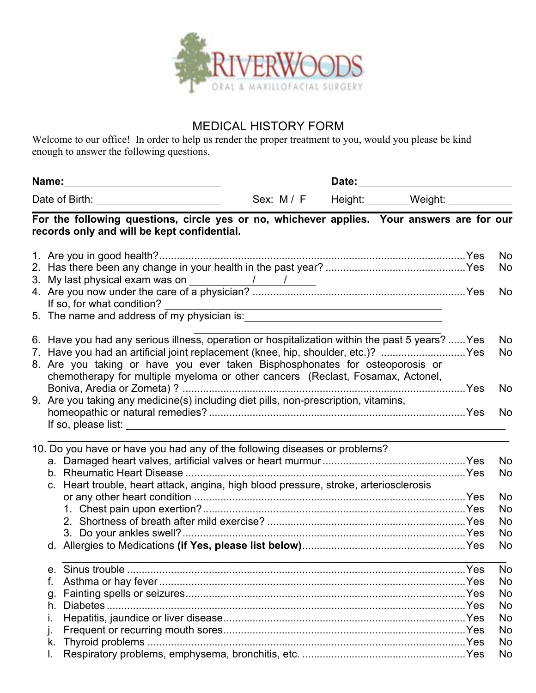

## MEDICAL HISTORY FORM

Welcome to our office! In order to help us render the proper treatment to you, would you please be kind enough to answer the following questions.

| Name:<br><u> 1989 - Jan Samuel Barbara, margaret e</u><br>Date of Birth: <u>________________________</u> |                |                                                                                                                                                                                                                                                                                                                                                       |  | Date: |  |                                                                                                                     |  |                        |
|----------------------------------------------------------------------------------------------------------|----------------|-------------------------------------------------------------------------------------------------------------------------------------------------------------------------------------------------------------------------------------------------------------------------------------------------------------------------------------------------------|--|-------|--|---------------------------------------------------------------------------------------------------------------------|--|------------------------|
|                                                                                                          |                |                                                                                                                                                                                                                                                                                                                                                       |  |       |  |                                                                                                                     |  |                        |
|                                                                                                          |                | For the following questions, circle yes or no, whichever applies. Your answers are for our<br>records only and will be kept confidential.                                                                                                                                                                                                             |  |       |  |                                                                                                                     |  |                        |
|                                                                                                          |                | 3. My last physical exam was on $\frac{1}{\sqrt{1-\frac{1}{2}}}\left\lfloor \frac{1}{\sqrt{1-\frac{1}{2}}}\right\rfloor$                                                                                                                                                                                                                              |  |       |  |                                                                                                                     |  | No<br>No               |
|                                                                                                          |                | If so, for what condition?                                                                                                                                                                                                                                                                                                                            |  |       |  | <u> 1989 - Johann Barn, mars eta bainar eta baina eta baina eta baina eta baina eta baina eta baina eta baina e</u> |  | No                     |
|                                                                                                          |                | 6. Have you had any serious illness, operation or hospitalization within the past 5 years?  Yes<br>7. Have you had an artificial joint replacement (knee, hip, shoulder, etc.)? Yes<br>8. Are you taking or have you ever taken Bisphosphonates for osteoporosis or<br>chemotherapy for multiple myeloma or other cancers (Reclast, Fosamax, Actonel, |  |       |  |                                                                                                                     |  | No<br>No               |
|                                                                                                          |                | 9. Are you taking any medicine(s) including diet pills, non-prescription, vitamins,                                                                                                                                                                                                                                                                   |  |       |  |                                                                                                                     |  | No.                    |
|                                                                                                          |                |                                                                                                                                                                                                                                                                                                                                                       |  |       |  |                                                                                                                     |  | No.                    |
|                                                                                                          |                | 10. Do you have or have you had any of the following diseases or problems?                                                                                                                                                                                                                                                                            |  |       |  |                                                                                                                     |  | <b>No</b><br>No        |
|                                                                                                          |                | c. Heart trouble, heart attack, angina, high blood pressure, stroke, arteriosclerosis                                                                                                                                                                                                                                                                 |  |       |  |                                                                                                                     |  | No<br>No.<br>No.<br>No |
|                                                                                                          |                |                                                                                                                                                                                                                                                                                                                                                       |  |       |  |                                                                                                                     |  | No                     |
|                                                                                                          | f.<br>g.<br>h. | Diabetes.                                                                                                                                                                                                                                                                                                                                             |  |       |  |                                                                                                                     |  | No<br>No<br>No         |
|                                                                                                          | k.             |                                                                                                                                                                                                                                                                                                                                                       |  |       |  |                                                                                                                     |  | No<br>No<br>No<br>No   |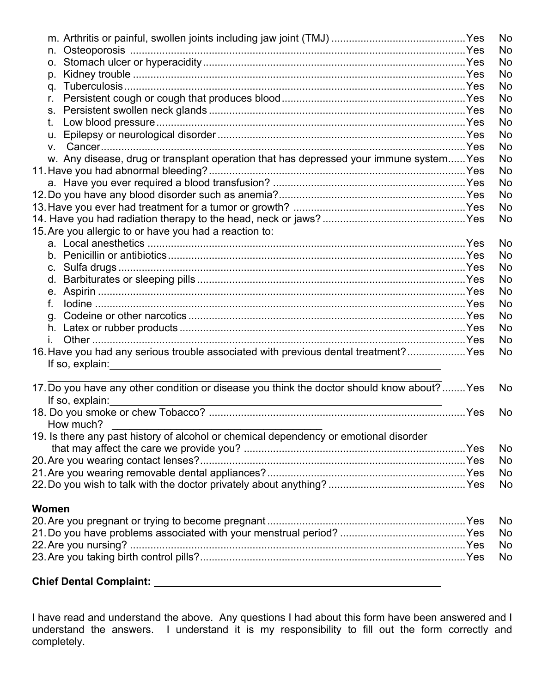|             |                                                                                                                                                                                                                                      | <b>No</b> |
|-------------|--------------------------------------------------------------------------------------------------------------------------------------------------------------------------------------------------------------------------------------|-----------|
|             |                                                                                                                                                                                                                                      | No.       |
|             |                                                                                                                                                                                                                                      | No.       |
| p.          |                                                                                                                                                                                                                                      | No.       |
|             |                                                                                                                                                                                                                                      | No.       |
| r.          |                                                                                                                                                                                                                                      | No        |
| $S_{\cdot}$ |                                                                                                                                                                                                                                      | <b>No</b> |
| t.          |                                                                                                                                                                                                                                      | <b>No</b> |
| u.          |                                                                                                                                                                                                                                      | No        |
| V.          |                                                                                                                                                                                                                                      | No.       |
|             | w. Any disease, drug or transplant operation that has depressed your immune system Yes                                                                                                                                               | No        |
|             |                                                                                                                                                                                                                                      | No        |
|             |                                                                                                                                                                                                                                      | <b>No</b> |
|             |                                                                                                                                                                                                                                      | No.       |
|             |                                                                                                                                                                                                                                      | No        |
|             |                                                                                                                                                                                                                                      | No        |
|             | 15. Are you allergic to or have you had a reaction to:                                                                                                                                                                               |           |
|             |                                                                                                                                                                                                                                      | No.       |
|             |                                                                                                                                                                                                                                      | <b>No</b> |
|             |                                                                                                                                                                                                                                      | <b>No</b> |
| d.          |                                                                                                                                                                                                                                      | <b>No</b> |
|             |                                                                                                                                                                                                                                      | No        |
| f.          |                                                                                                                                                                                                                                      | No.       |
| q.          |                                                                                                                                                                                                                                      | No.       |
|             |                                                                                                                                                                                                                                      | No.       |
|             |                                                                                                                                                                                                                                      | No.       |
|             | 16. Have you had any serious trouble associated with previous dental treatment? Yes                                                                                                                                                  | No        |
|             | If so, explain: <u>example and the set of the set of the set of the set of the set of the set of the set of the set of the set of the set of the set of the set of the set of the set of the set of the set of the set of the se</u> |           |
|             |                                                                                                                                                                                                                                      |           |
|             | 17. Do you have any other condition or disease you think the doctor should know about?  Yes<br>If so, explain:                                                                                                                       | <b>No</b> |
|             |                                                                                                                                                                                                                                      | No        |
|             | How much?                                                                                                                                                                                                                            |           |
|             | 19. Is there any past history of alcohol or chemical dependency or emotional disorder                                                                                                                                                |           |
|             |                                                                                                                                                                                                                                      | No.       |
|             |                                                                                                                                                                                                                                      | No        |
|             |                                                                                                                                                                                                                                      | No        |
|             |                                                                                                                                                                                                                                      | No        |
|             |                                                                                                                                                                                                                                      |           |
| Women       |                                                                                                                                                                                                                                      |           |
|             |                                                                                                                                                                                                                                      | No        |
|             |                                                                                                                                                                                                                                      | No        |
|             |                                                                                                                                                                                                                                      | No        |
|             |                                                                                                                                                                                                                                      | No        |
|             |                                                                                                                                                                                                                                      |           |
|             | <b>Chief Dental Complaint:</b>                                                                                                                                                                                                       |           |

I have read and understand the above. Any questions I had about this form have been answered and I understand the answers. I understand it is my responsibility to fill out the form correctly and completely.